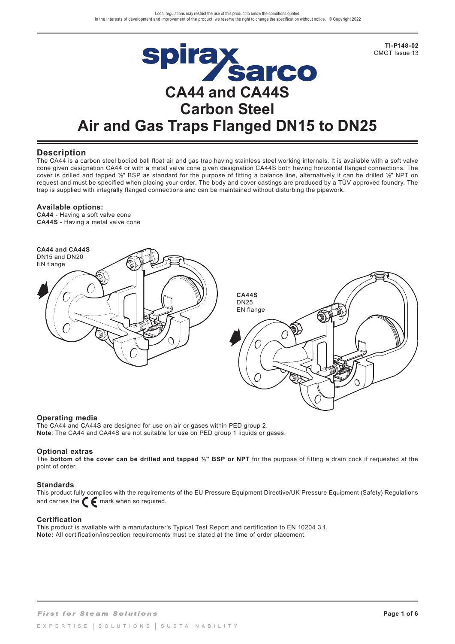

## **Description**

The CA44 is a carbon steel bodied ball float air and gas trap having stainless steel working internals. It is available with a soft valve cone given designation CA44 or with a metal valve cone given designation CA44S both having horizontal flanged connections. The cover is drilled and tapped **½**" BSP as standard for the purpose of fitting a balance line, alternatively it can be drilled **½**" NPT on request and must be specified when placing your order. The body and cover castings are produced by a TÜV approved foundry. The trap is supplied with integrally flanged connections and can be maintained without disturbing the pipework.

### **Available options:**

**CA44** - Having a soft valve cone **CA44S** - Having a metal valve cone



### **Operating media**

The CA44 and CA44S are designed for use on air or gases within PED group 2. **Note:** The CA44 and CA44S are not suitable for use on PED group 1 liquids or gases.

### **Optional extras**

The **bottom of the cover can be drilled and tapped ½" BSP or NPT** for the purpose of fitting a drain cock if requested at the point of order.

### **Standards**

This product fully complies with the requirements of the EU Pressure Equipment Directive/UK Pressure Equipment (Safety) Regulations and carries the  $\epsilon$  mark when so required.

### **Certification**

This product is available with a manufacturer's Typical Test Report and certification to EN 10204 3.1. **Note:** All certification/inspection requirements must be stated at the time of order placement.

**TI-P148-02**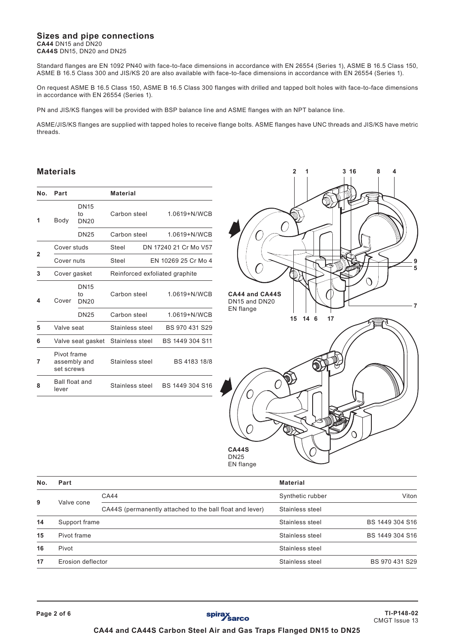# **Sizes and pipe connections CA44** DN15 and DN20

**CA44S** DN15, DN20 and DN25

Standard flanges are EN 1092 PN40 with face-to-face dimensions in accordance with EN 26554 (Series 1), ASME B 16.5 Class 150, ASME B 16.5 Class 300 and JIS/KS 20 are also available with face-to-face dimensions in accordance with EN 26554 (Series 1).

On request ASME B 16.5 Class 150, ASME B 16.5 Class 300 flanges with drilled and tapped bolt holes with face-to-face dimensions in accordance with EN 26554 (Series 1).

PN and JIS/KS flanges will be provided with BSP balance line and ASME flanges with an NPT balance line.

ASME/JIS/KS flanges are supplied with tapped holes to receive flange bolts. ASME flanges have UNC threads and JIS/KS have metric threads.

# **Materials**

| No. | Part                                      |                                  | <b>Material</b>                |                       |  |  |  |
|-----|-------------------------------------------|----------------------------------|--------------------------------|-----------------------|--|--|--|
| 1   | Body                                      | <b>DN15</b><br>t٥<br><b>DN20</b> | Carbon steel                   | 1.0619+N/WCB          |  |  |  |
|     |                                           | <b>DN25</b>                      | Carbon steel                   | 1.0619+N/WCB          |  |  |  |
|     | Cover studs                               |                                  | Steel                          | DN 17240 21 Cr Mo V57 |  |  |  |
| 2   | Cover nuts                                |                                  | Steel                          | EN 10269 25 Cr Mo 4   |  |  |  |
| 3   | Cover gasket                              |                                  | Reinforced exfoliated graphite |                       |  |  |  |
| 4   | Cover                                     | <b>DN15</b><br>to<br><b>DN20</b> | Carbon steel                   | 1.0619+N/WCB          |  |  |  |
|     |                                           | <b>DN25</b>                      | Carbon steel                   | 1.0619+N/WCB          |  |  |  |
| 5   | Valve seat                                |                                  | Stainless steel                | BS 970 431 S29        |  |  |  |
| 6   | Valve seat gasket                         |                                  | Stainless steel                | BS 1449 304 S11       |  |  |  |
| 7   | Pivot frame<br>assembly and<br>set screws |                                  | Stainless steel                | BS 4183 18/8          |  |  |  |
| 8   | Ball float and<br>lever                   |                                  | Stainless steel                | BS 1449 304 S16       |  |  |  |



| No. | Part              |                                                          | <b>Material</b>  |                 |
|-----|-------------------|----------------------------------------------------------|------------------|-----------------|
|     |                   | <b>CA44</b>                                              | Synthetic rubber | Viton           |
| 9   | Valve cone        | CA44S (permanently attached to the ball float and lever) | Stainless steel  |                 |
| 14  | Support frame     |                                                          | Stainless steel  | BS 1449 304 S16 |
| 15  | Pivot frame       |                                                          | Stainless steel  | BS 1449 304 S16 |
| 16  | Pivot             |                                                          | Stainless steel  |                 |
| 17  | Erosion deflector |                                                          | Stainless steel  | BS 970 431 S29  |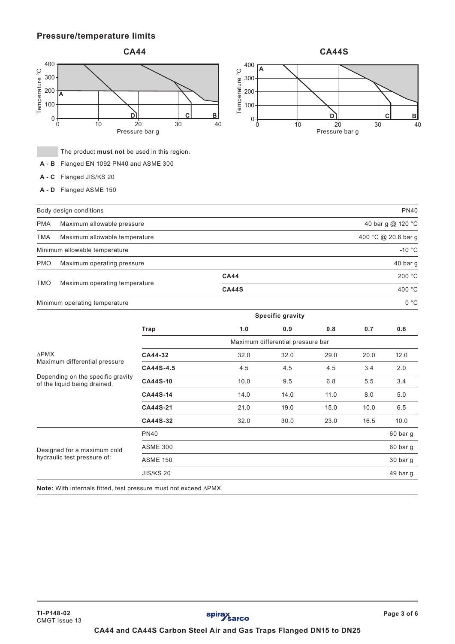# **Pressure/temperature limits**



The product **must not** be used in this region.

- **A B** Flanged EN 1092 PN40 and ASME 300
- **A C** Flanged JIS/KS 20
- **A D** Flanged ASME 150

|                                       |    | <b>68445</b>          |    |    |
|---------------------------------------|----|-----------------------|----|----|
| $400 -$                               |    |                       |    |    |
| $300 -$                               |    |                       |    |    |
|                                       |    |                       |    |    |
| $200 -$                               |    |                       |    |    |
| Temperature <sup>°</sup> C<br>$100 -$ |    |                       |    |    |
|                                       |    |                       |    |    |
| 0                                     |    |                       | С  | в  |
|                                       | 10 | 20                    | 30 | 40 |
|                                       |    | <b>Droccuro</b> har a |    |    |

|                                                                                                    | Body design conditions                          |                  |                                   |                         |      |        | <b>PN40</b>         |  |
|----------------------------------------------------------------------------------------------------|-------------------------------------------------|------------------|-----------------------------------|-------------------------|------|--------|---------------------|--|
| <b>PMA</b>                                                                                         | 40 bar g @ 120 °C<br>Maximum allowable pressure |                  |                                   |                         |      |        |                     |  |
| <b>TMA</b>                                                                                         | Maximum allowable temperature                   |                  |                                   |                         |      |        | 400 °C @ 20.6 bar g |  |
|                                                                                                    | Minimum allowable temperature                   |                  |                                   |                         |      |        | $-10 °C$            |  |
| <b>PMO</b>                                                                                         | Maximum operating pressure                      |                  |                                   |                         |      |        | 40 bar g            |  |
|                                                                                                    |                                                 |                  | <b>CA44</b>                       |                         |      |        | 200 °C              |  |
| <b>TMO</b>                                                                                         | Maximum operating temperature                   | <b>CA44S</b>     |                                   |                         |      | 400 °C |                     |  |
|                                                                                                    | Minimum operating temperature                   |                  |                                   |                         |      |        | 0 °C                |  |
|                                                                                                    |                                                 |                  |                                   | <b>Specific gravity</b> |      |        |                     |  |
|                                                                                                    |                                                 | Trap             | 1.0                               | 0.9                     | 0.8  | 0.7    | 0.6                 |  |
|                                                                                                    |                                                 |                  | Maximum differential pressure bar |                         |      |        |                     |  |
| <b>APMX</b>                                                                                        |                                                 | CA44-32          | 32.0                              | 32.0                    | 29.0 | 20.0   | 12.0                |  |
| Maximum differential pressure<br>Depending on the specific gravity<br>of the liquid being drained. |                                                 | CA44S-4.5        | 4.5                               | 4.5                     | 4.5  | 3.4    | 2.0                 |  |
|                                                                                                    |                                                 | CA44S-10         | 10.0                              | 9.5                     | 6.8  | 5.5    | 3.4                 |  |
|                                                                                                    |                                                 | CA44S-14         | 14.0                              | 14.0                    | 11.0 | 8.0    | 5.0                 |  |
|                                                                                                    |                                                 | CA44S-21         | 21.0                              | 19.0                    | 15.0 | 10.0   | 6.5                 |  |
|                                                                                                    |                                                 | CA44S-32         | 32.0                              | 30.0                    | 23.0 | 16.5   | 10.0                |  |
|                                                                                                    |                                                 | <b>PN40</b>      |                                   |                         |      |        | 60 bar g            |  |
| Designed for a maximum cold<br>hydraulic test pressure of:                                         |                                                 | <b>ASME 300</b>  |                                   |                         |      |        | 60 bar g            |  |
|                                                                                                    |                                                 | <b>ASME 150</b>  |                                   |                         |      |        | 30 bar g            |  |
|                                                                                                    |                                                 | <b>JIS/KS 20</b> |                                   |                         |      |        | 49 bar g            |  |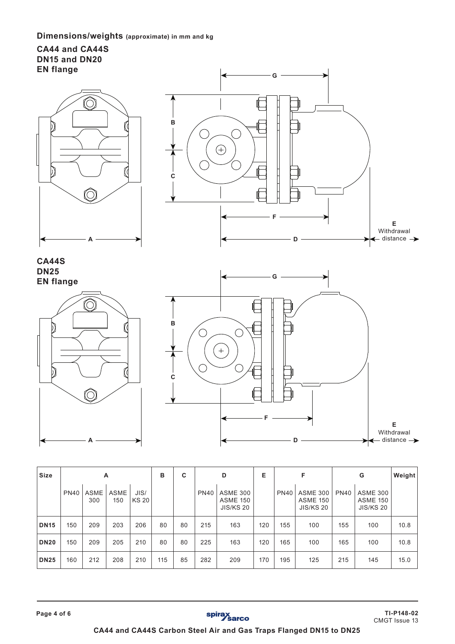# **Dimensions/weights (approximate) in mm and kg**

# **CA44 and CA44S DN15 and DN20 EN flange**





# **CA44S DN25 EN flange**





| Size        | A           |                    |                    |                      | B   | C  |             | D                                                      | Е   |             | F                                                      |             | G                                                      | Weight |
|-------------|-------------|--------------------|--------------------|----------------------|-----|----|-------------|--------------------------------------------------------|-----|-------------|--------------------------------------------------------|-------------|--------------------------------------------------------|--------|
|             | <b>PN40</b> | <b>ASME</b><br>300 | <b>ASME</b><br>150 | JIS/<br><b>KS 20</b> |     |    | <b>PN40</b> | <b>ASME 300</b><br><b>ASME 150</b><br><b>JIS/KS 20</b> |     | <b>PN40</b> | <b>ASME 300</b><br><b>ASME 150</b><br><b>JIS/KS 20</b> | <b>PN40</b> | <b>ASME 300</b><br><b>ASME 150</b><br><b>JIS/KS 20</b> |        |
| <b>DN15</b> | 150         | 209                | 203                | 206                  | 80  | 80 | 215         | 163                                                    | 120 | 155         | 100                                                    | 155         | 100                                                    | 10.8   |
| <b>DN20</b> | 150         | 209                | 205                | 210                  | 80  | 80 | 225         | 163                                                    | 120 | 165         | 100                                                    | 165         | 100                                                    | 10.8   |
| <b>DN25</b> | 160         | 212                | 208                | 210                  | 115 | 85 | 282         | 209                                                    | 170 | 195         | 125                                                    | 215         | 145                                                    | 15.0   |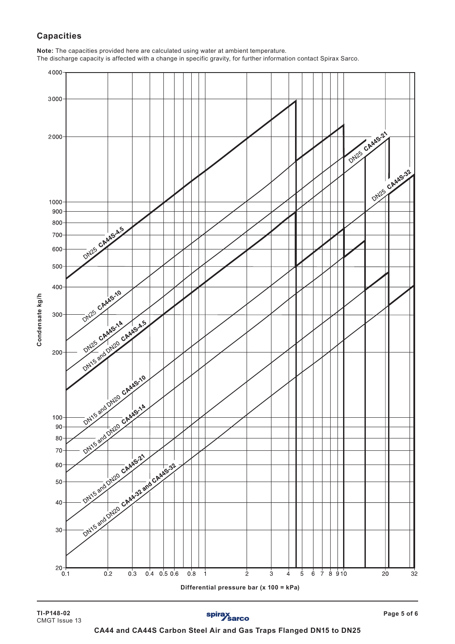# **Capacities**

**Note:** The capacities provided here are calculated using water at ambient temperature.

The discharge capacity is affected with a change in specific gravity, for further information contact Spirax Sarco.